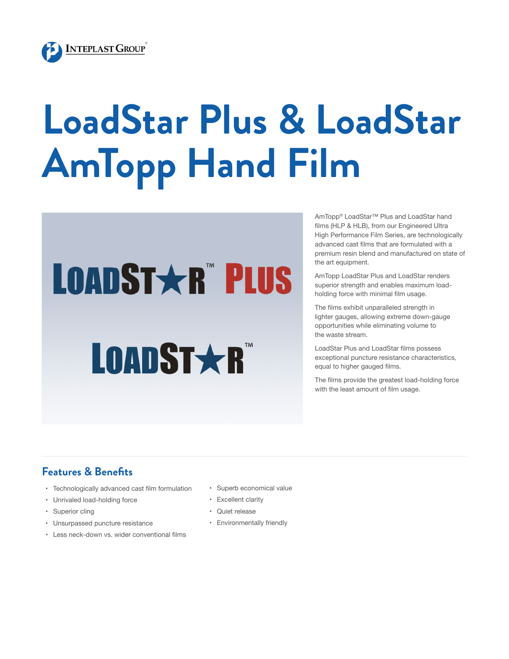

## **LoadStar Plus & LoadStar AmTopp Hand Film**

# **LOADST \* R" PLUS**

## **LOADST\*R**

AmTopp® LoadStar™ Plus and LoadStar hand films (HLP & HLB), from our Engineered Ultra High Performance Film Series, are technologically advanced cast films that are formulated with a premium resin blend and manufactured on state of the art equipment.

AmTopp LoadStar Plus and LoadStar renders superior strength and enables maximum loadholding force with minimal film usage.

The films exhibit unparalleled strength in lighter gauges, allowing extreme down-gauge opportunities while eliminating volume to the waste stream.

LoadStar Plus and LoadStar films possess exceptional puncture resistance characteristics, equal to higher gauged films.

The films provide the greatest load-holding force with the least amount of film usage.

#### **Features & Benefits**

- Technologically advanced cast film formulation
- Unrivaled load-holding force
- Superior cling
- Unsurpassed puncture resistance
- Less neck-down vs. wider conventional films
- Superb economical value
- Excellent clarity
- Quiet release
- Environmentally friendly